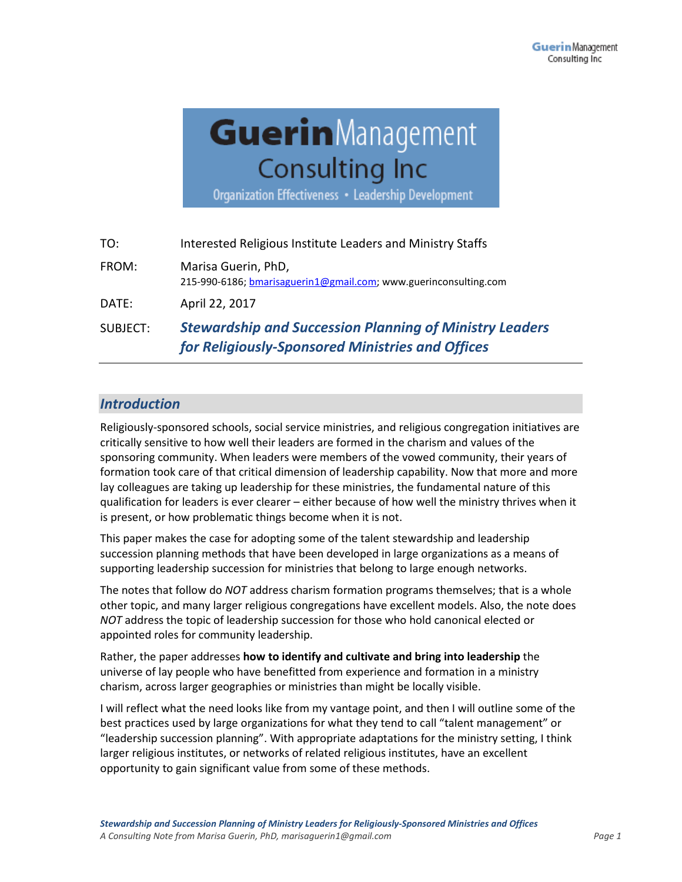# GuerinManagement **Consulting Inc**

Organization Effectiveness • Leadership Development

| SUBJECT: | <b>Stewardship and Succession Planning of Ministry Leaders</b><br>for Religiously-Sponsored Ministries and Offices |
|----------|--------------------------------------------------------------------------------------------------------------------|
| DATE:    | April 22, 2017                                                                                                     |
| FROM:    | Marisa Guerin, PhD,<br>215-990-6186; bmarisaguerin1@gmail.com; www.guerinconsulting.com                            |
| TO:      | Interested Religious Institute Leaders and Ministry Staffs                                                         |

# *Introduction*

Religiously-sponsored schools, social service ministries, and religious congregation initiatives are critically sensitive to how well their leaders are formed in the charism and values of the sponsoring community. When leaders were members of the vowed community, their years of formation took care of that critical dimension of leadership capability. Now that more and more lay colleagues are taking up leadership for these ministries, the fundamental nature of this qualification for leaders is ever clearer – either because of how well the ministry thrives when it is present, or how problematic things become when it is not.

This paper makes the case for adopting some of the talent stewardship and leadership succession planning methods that have been developed in large organizations as a means of supporting leadership succession for ministries that belong to large enough networks.

The notes that follow do *NOT* address charism formation programs themselves; that is a whole other topic, and many larger religious congregations have excellent models. Also, the note does *NOT* address the topic of leadership succession for those who hold canonical elected or appointed roles for community leadership.

Rather, the paper addresses **how to identify and cultivate and bring into leadership** the universe of lay people who have benefitted from experience and formation in a ministry charism, across larger geographies or ministries than might be locally visible.

I will reflect what the need looks like from my vantage point, and then I will outline some of the best practices used by large organizations for what they tend to call "talent management" or "leadership succession planning". With appropriate adaptations for the ministry setting, I think larger religious institutes, or networks of related religious institutes, have an excellent opportunity to gain significant value from some of these methods.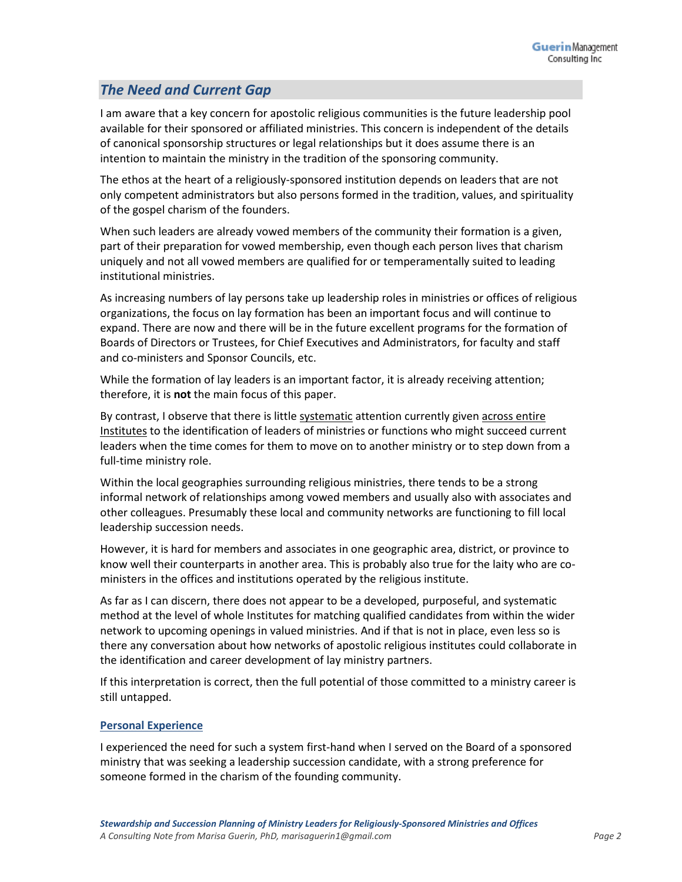# *The Need and Current Gap*

I am aware that a key concern for apostolic religious communities is the future leadership pool available for their sponsored or affiliated ministries. This concern is independent of the details of canonical sponsorship structures or legal relationships but it does assume there is an intention to maintain the ministry in the tradition of the sponsoring community.

The ethos at the heart of a religiously-sponsored institution depends on leaders that are not only competent administrators but also persons formed in the tradition, values, and spirituality of the gospel charism of the founders.

When such leaders are already vowed members of the community their formation is a given, part of their preparation for vowed membership, even though each person lives that charism uniquely and not all vowed members are qualified for or temperamentally suited to leading institutional ministries.

As increasing numbers of lay persons take up leadership roles in ministries or offices of religious organizations, the focus on lay formation has been an important focus and will continue to expand. There are now and there will be in the future excellent programs for the formation of Boards of Directors or Trustees, for Chief Executives and Administrators, for faculty and staff and co-ministers and Sponsor Councils, etc.

While the formation of lay leaders is an important factor, it is already receiving attention; therefore, it is **not** the main focus of this paper.

By contrast, I observe that there is little systematic attention currently given across entire Institutes to the identification of leaders of ministries or functions who might succeed current leaders when the time comes for them to move on to another ministry or to step down from a full-time ministry role.

Within the local geographies surrounding religious ministries, there tends to be a strong informal network of relationships among vowed members and usually also with associates and other colleagues. Presumably these local and community networks are functioning to fill local leadership succession needs.

However, it is hard for members and associates in one geographic area, district, or province to know well their counterparts in another area. This is probably also true for the laity who are coministers in the offices and institutions operated by the religious institute.

As far as I can discern, there does not appear to be a developed, purposeful, and systematic method at the level of whole Institutes for matching qualified candidates from within the wider network to upcoming openings in valued ministries. And if that is not in place, even less so is there any conversation about how networks of apostolic religious institutes could collaborate in the identification and career development of lay ministry partners.

If this interpretation is correct, then the full potential of those committed to a ministry career is still untapped.

# **Personal Experience**

I experienced the need for such a system first-hand when I served on the Board of a sponsored ministry that was seeking a leadership succession candidate, with a strong preference for someone formed in the charism of the founding community.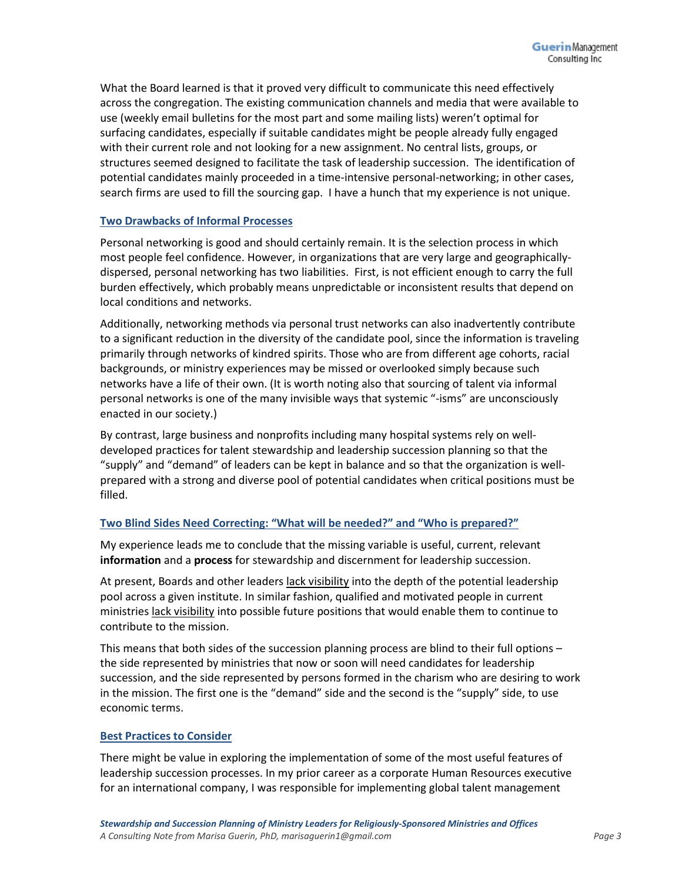What the Board learned is that it proved very difficult to communicate this need effectively across the congregation. The existing communication channels and media that were available to use (weekly email bulletins for the most part and some mailing lists) weren't optimal for surfacing candidates, especially if suitable candidates might be people already fully engaged with their current role and not looking for a new assignment. No central lists, groups, or structures seemed designed to facilitate the task of leadership succession. The identification of potential candidates mainly proceeded in a time-intensive personal-networking; in other cases, search firms are used to fill the sourcing gap. I have a hunch that my experience is not unique.

# **Two Drawbacks of Informal Processes**

Personal networking is good and should certainly remain. It is the selection process in which most people feel confidence. However, in organizations that are very large and geographicallydispersed, personal networking has two liabilities. First, is not efficient enough to carry the full burden effectively, which probably means unpredictable or inconsistent results that depend on local conditions and networks.

Additionally, networking methods via personal trust networks can also inadvertently contribute to a significant reduction in the diversity of the candidate pool, since the information is traveling primarily through networks of kindred spirits. Those who are from different age cohorts, racial backgrounds, or ministry experiences may be missed or overlooked simply because such networks have a life of their own. (It is worth noting also that sourcing of talent via informal personal networks is one of the many invisible ways that systemic "-isms" are unconsciously enacted in our society.)

By contrast, large business and nonprofits including many hospital systems rely on welldeveloped practices for talent stewardship and leadership succession planning so that the "supply" and "demand" of leaders can be kept in balance and so that the organization is wellprepared with a strong and diverse pool of potential candidates when critical positions must be filled.

# **Two Blind Sides Need Correcting: "What will be needed?" and "Who is prepared?"**

My experience leads me to conclude that the missing variable is useful, current, relevant **information** and a **process** for stewardship and discernment for leadership succession.

At present, Boards and other leaders lack visibility into the depth of the potential leadership pool across a given institute. In similar fashion, qualified and motivated people in current ministries lack visibility into possible future positions that would enable them to continue to contribute to the mission.

This means that both sides of the succession planning process are blind to their full options the side represented by ministries that now or soon will need candidates for leadership succession, and the side represented by persons formed in the charism who are desiring to work in the mission. The first one is the "demand" side and the second is the "supply" side, to use economic terms.

#### **Best Practices to Consider**

There might be value in exploring the implementation of some of the most useful features of leadership succession processes. In my prior career as a corporate Human Resources executive for an international company, I was responsible for implementing global talent management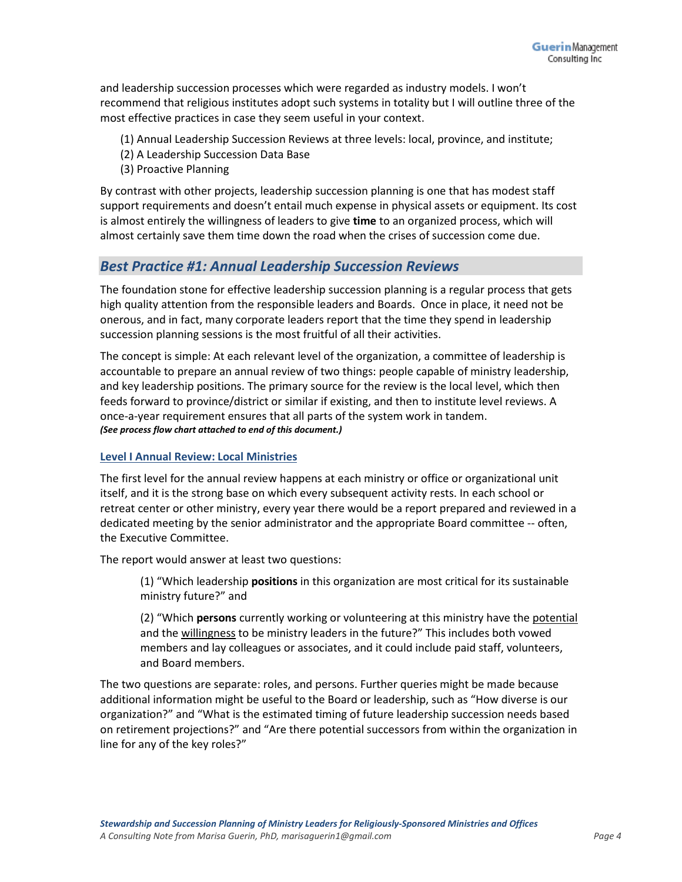and leadership succession processes which were regarded as industry models. I won't recommend that religious institutes adopt such systems in totality but I will outline three of the most effective practices in case they seem useful in your context.

- (1) Annual Leadership Succession Reviews at three levels: local, province, and institute;
- (2) A Leadership Succession Data Base
- (3) Proactive Planning

By contrast with other projects, leadership succession planning is one that has modest staff support requirements and doesn't entail much expense in physical assets or equipment. Its cost is almost entirely the willingness of leaders to give **time** to an organized process, which will almost certainly save them time down the road when the crises of succession come due.

# *Best Practice #1: Annual Leadership Succession Reviews*

The foundation stone for effective leadership succession planning is a regular process that gets high quality attention from the responsible leaders and Boards. Once in place, it need not be onerous, and in fact, many corporate leaders report that the time they spend in leadership succession planning sessions is the most fruitful of all their activities.

The concept is simple: At each relevant level of the organization, a committee of leadership is accountable to prepare an annual review of two things: people capable of ministry leadership, and key leadership positions. The primary source for the review is the local level, which then feeds forward to province/district or similar if existing, and then to institute level reviews. A once-a-year requirement ensures that all parts of the system work in tandem. *(See process flow chart attached to end of this document.)*

#### **Level I Annual Review: Local Ministries**

The first level for the annual review happens at each ministry or office or organizational unit itself, and it is the strong base on which every subsequent activity rests. In each school or retreat center or other ministry, every year there would be a report prepared and reviewed in a dedicated meeting by the senior administrator and the appropriate Board committee -- often, the Executive Committee.

The report would answer at least two questions:

(1) "Which leadership **positions** in this organization are most critical for its sustainable ministry future?" and

(2) "Which **persons** currently working or volunteering at this ministry have the potential and the willingness to be ministry leaders in the future?" This includes both vowed members and lay colleagues or associates, and it could include paid staff, volunteers, and Board members.

The two questions are separate: roles, and persons. Further queries might be made because additional information might be useful to the Board or leadership, such as "How diverse is our organization?" and "What is the estimated timing of future leadership succession needs based on retirement projections?" and "Are there potential successors from within the organization in line for any of the key roles?"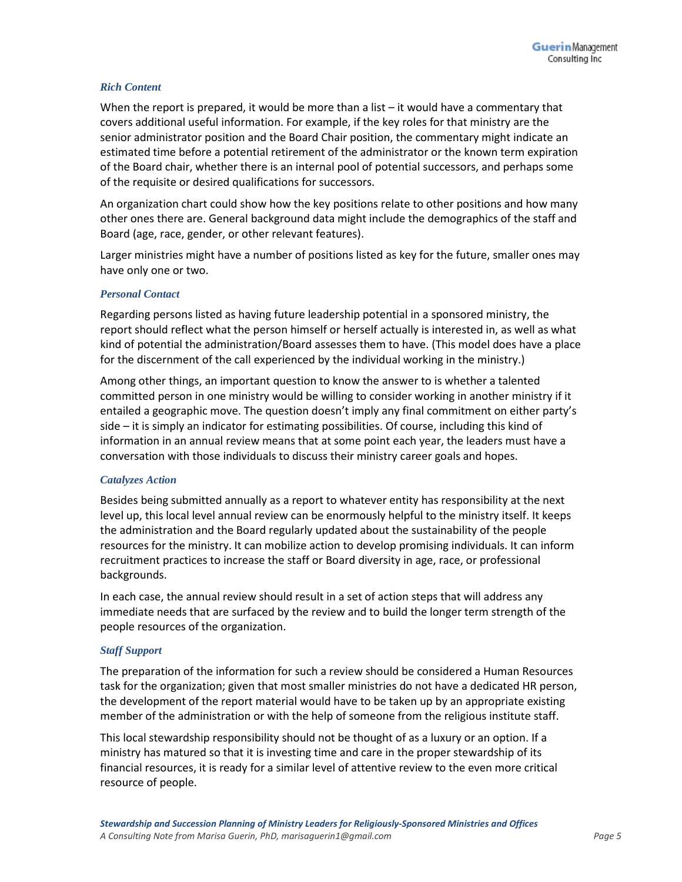#### *Rich Content*

When the report is prepared, it would be more than a list – it would have a commentary that covers additional useful information. For example, if the key roles for that ministry are the senior administrator position and the Board Chair position, the commentary might indicate an estimated time before a potential retirement of the administrator or the known term expiration of the Board chair, whether there is an internal pool of potential successors, and perhaps some of the requisite or desired qualifications for successors.

An organization chart could show how the key positions relate to other positions and how many other ones there are. General background data might include the demographics of the staff and Board (age, race, gender, or other relevant features).

Larger ministries might have a number of positions listed as key for the future, smaller ones may have only one or two.

#### *Personal Contact*

Regarding persons listed as having future leadership potential in a sponsored ministry, the report should reflect what the person himself or herself actually is interested in, as well as what kind of potential the administration/Board assesses them to have. (This model does have a place for the discernment of the call experienced by the individual working in the ministry.)

Among other things, an important question to know the answer to is whether a talented committed person in one ministry would be willing to consider working in another ministry if it entailed a geographic move. The question doesn't imply any final commitment on either party's side – it is simply an indicator for estimating possibilities. Of course, including this kind of information in an annual review means that at some point each year, the leaders must have a conversation with those individuals to discuss their ministry career goals and hopes.

#### *Catalyzes Action*

Besides being submitted annually as a report to whatever entity has responsibility at the next level up, this local level annual review can be enormously helpful to the ministry itself. It keeps the administration and the Board regularly updated about the sustainability of the people resources for the ministry. It can mobilize action to develop promising individuals. It can inform recruitment practices to increase the staff or Board diversity in age, race, or professional backgrounds.

In each case, the annual review should result in a set of action steps that will address any immediate needs that are surfaced by the review and to build the longer term strength of the people resources of the organization.

#### *Staff Support*

The preparation of the information for such a review should be considered a Human Resources task for the organization; given that most smaller ministries do not have a dedicated HR person, the development of the report material would have to be taken up by an appropriate existing member of the administration or with the help of someone from the religious institute staff.

This local stewardship responsibility should not be thought of as a luxury or an option. If a ministry has matured so that it is investing time and care in the proper stewardship of its financial resources, it is ready for a similar level of attentive review to the even more critical resource of people.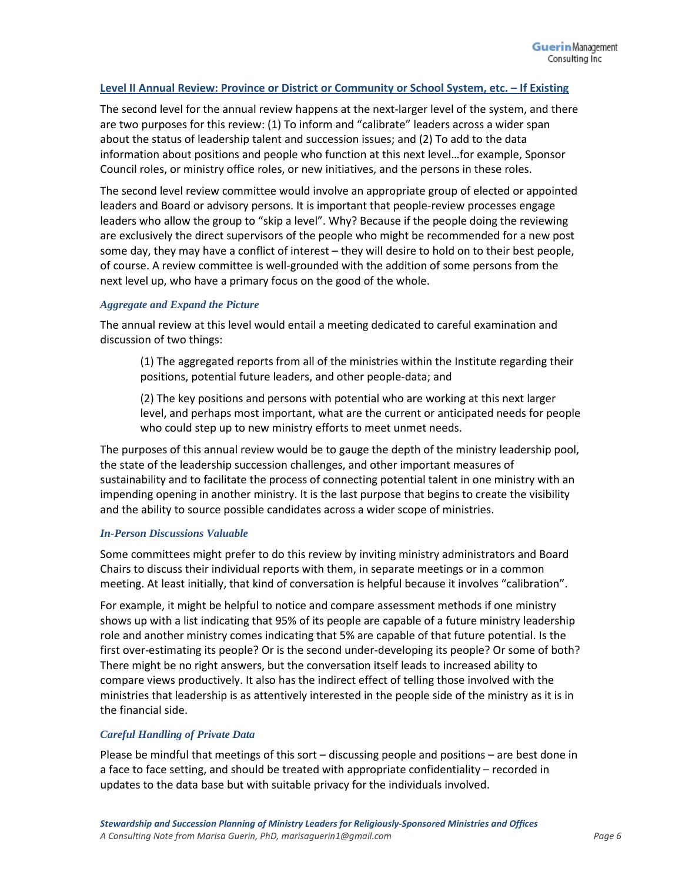#### **Level II Annual Review: Province or District or Community or School System, etc. – If Existing**

The second level for the annual review happens at the next-larger level of the system, and there are two purposes for this review: (1) To inform and "calibrate" leaders across a wider span about the status of leadership talent and succession issues; and (2) To add to the data information about positions and people who function at this next level…for example, Sponsor Council roles, or ministry office roles, or new initiatives, and the persons in these roles.

The second level review committee would involve an appropriate group of elected or appointed leaders and Board or advisory persons. It is important that people-review processes engage leaders who allow the group to "skip a level". Why? Because if the people doing the reviewing are exclusively the direct supervisors of the people who might be recommended for a new post some day, they may have a conflict of interest – they will desire to hold on to their best people, of course. A review committee is well-grounded with the addition of some persons from the next level up, who have a primary focus on the good of the whole.

#### *Aggregate and Expand the Picture*

The annual review at this level would entail a meeting dedicated to careful examination and discussion of two things:

(1) The aggregated reports from all of the ministries within the Institute regarding their positions, potential future leaders, and other people-data; and

(2) The key positions and persons with potential who are working at this next larger level, and perhaps most important, what are the current or anticipated needs for people who could step up to new ministry efforts to meet unmet needs.

The purposes of this annual review would be to gauge the depth of the ministry leadership pool, the state of the leadership succession challenges, and other important measures of sustainability and to facilitate the process of connecting potential talent in one ministry with an impending opening in another ministry. It is the last purpose that begins to create the visibility and the ability to source possible candidates across a wider scope of ministries.

#### *In-Person Discussions Valuable*

Some committees might prefer to do this review by inviting ministry administrators and Board Chairs to discuss their individual reports with them, in separate meetings or in a common meeting. At least initially, that kind of conversation is helpful because it involves "calibration".

For example, it might be helpful to notice and compare assessment methods if one ministry shows up with a list indicating that 95% of its people are capable of a future ministry leadership role and another ministry comes indicating that 5% are capable of that future potential. Is the first over-estimating its people? Or is the second under-developing its people? Or some of both? There might be no right answers, but the conversation itself leads to increased ability to compare views productively. It also has the indirect effect of telling those involved with the ministries that leadership is as attentively interested in the people side of the ministry as it is in the financial side.

#### *Careful Handling of Private Data*

Please be mindful that meetings of this sort – discussing people and positions – are best done in a face to face setting, and should be treated with appropriate confidentiality – recorded in updates to the data base but with suitable privacy for the individuals involved.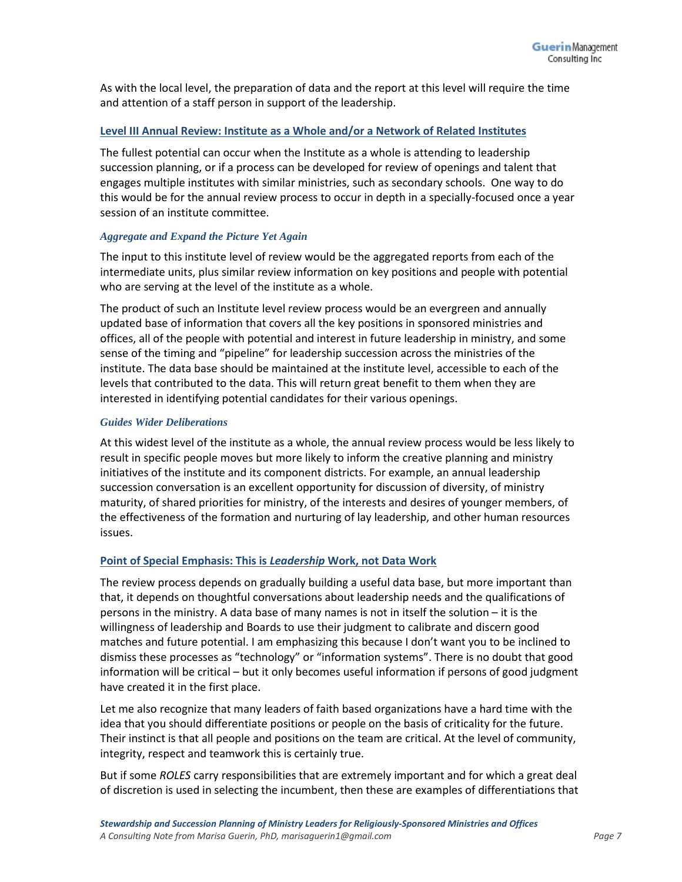As with the local level, the preparation of data and the report at this level will require the time and attention of a staff person in support of the leadership.

# **Level III Annual Review: Institute as a Whole and/or a Network of Related Institutes**

The fullest potential can occur when the Institute as a whole is attending to leadership succession planning, or if a process can be developed for review of openings and talent that engages multiple institutes with similar ministries, such as secondary schools. One way to do this would be for the annual review process to occur in depth in a specially-focused once a year session of an institute committee.

#### *Aggregate and Expand the Picture Yet Again*

The input to this institute level of review would be the aggregated reports from each of the intermediate units, plus similar review information on key positions and people with potential who are serving at the level of the institute as a whole.

The product of such an Institute level review process would be an evergreen and annually updated base of information that covers all the key positions in sponsored ministries and offices, all of the people with potential and interest in future leadership in ministry, and some sense of the timing and "pipeline" for leadership succession across the ministries of the institute. The data base should be maintained at the institute level, accessible to each of the levels that contributed to the data. This will return great benefit to them when they are interested in identifying potential candidates for their various openings.

#### *Guides Wider Deliberations*

At this widest level of the institute as a whole, the annual review process would be less likely to result in specific people moves but more likely to inform the creative planning and ministry initiatives of the institute and its component districts. For example, an annual leadership succession conversation is an excellent opportunity for discussion of diversity, of ministry maturity, of shared priorities for ministry, of the interests and desires of younger members, of the effectiveness of the formation and nurturing of lay leadership, and other human resources issues.

#### **Point of Special Emphasis: This is** *Leadership* **Work, not Data Work**

The review process depends on gradually building a useful data base, but more important than that, it depends on thoughtful conversations about leadership needs and the qualifications of persons in the ministry. A data base of many names is not in itself the solution – it is the willingness of leadership and Boards to use their judgment to calibrate and discern good matches and future potential. I am emphasizing this because I don't want you to be inclined to dismiss these processes as "technology" or "information systems". There is no doubt that good information will be critical – but it only becomes useful information if persons of good judgment have created it in the first place.

Let me also recognize that many leaders of faith based organizations have a hard time with the idea that you should differentiate positions or people on the basis of criticality for the future. Their instinct is that all people and positions on the team are critical. At the level of community, integrity, respect and teamwork this is certainly true.

But if some *ROLES* carry responsibilities that are extremely important and for which a great deal of discretion is used in selecting the incumbent, then these are examples of differentiations that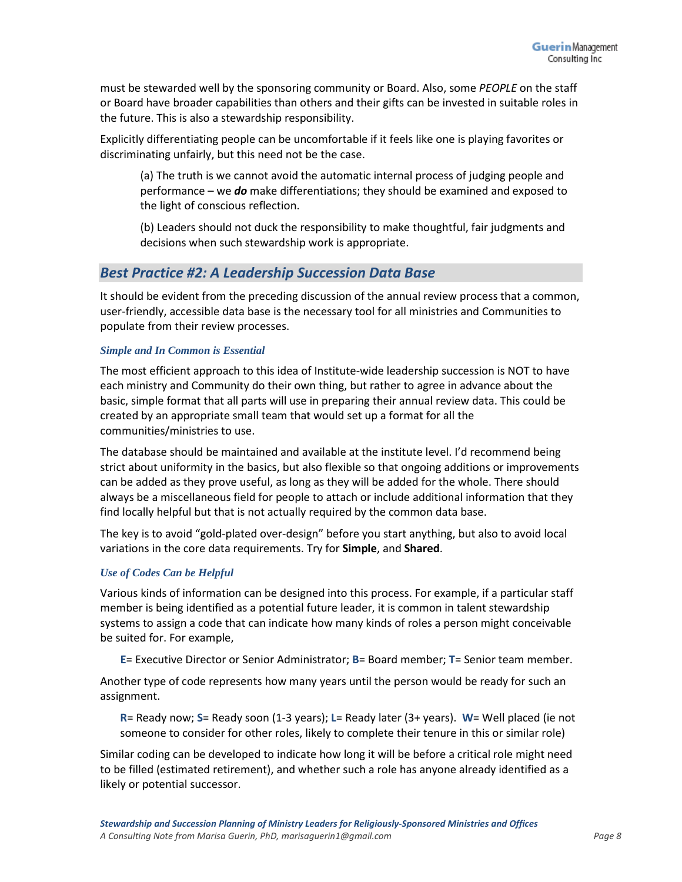must be stewarded well by the sponsoring community or Board. Also, some *PEOPLE* on the staff or Board have broader capabilities than others and their gifts can be invested in suitable roles in the future. This is also a stewardship responsibility.

Explicitly differentiating people can be uncomfortable if it feels like one is playing favorites or discriminating unfairly, but this need not be the case.

(a) The truth is we cannot avoid the automatic internal process of judging people and performance – we *do* make differentiations; they should be examined and exposed to the light of conscious reflection.

(b) Leaders should not duck the responsibility to make thoughtful, fair judgments and decisions when such stewardship work is appropriate.

# *Best Practice #2: A Leadership Succession Data Base*

It should be evident from the preceding discussion of the annual review process that a common, user-friendly, accessible data base is the necessary tool for all ministries and Communities to populate from their review processes.

#### *Simple and In Common is Essential*

The most efficient approach to this idea of Institute-wide leadership succession is NOT to have each ministry and Community do their own thing, but rather to agree in advance about the basic, simple format that all parts will use in preparing their annual review data. This could be created by an appropriate small team that would set up a format for all the communities/ministries to use.

The database should be maintained and available at the institute level. I'd recommend being strict about uniformity in the basics, but also flexible so that ongoing additions or improvements can be added as they prove useful, as long as they will be added for the whole. There should always be a miscellaneous field for people to attach or include additional information that they find locally helpful but that is not actually required by the common data base.

The key is to avoid "gold-plated over-design" before you start anything, but also to avoid local variations in the core data requirements. Try for **Simple**, and **Shared**.

#### *Use of Codes Can be Helpful*

Various kinds of information can be designed into this process. For example, if a particular staff member is being identified as a potential future leader, it is common in talent stewardship systems to assign a code that can indicate how many kinds of roles a person might conceivable be suited for. For example,

**E**= Executive Director or Senior Administrator; **B**= Board member; **T**= Senior team member.

Another type of code represents how many years until the person would be ready for such an assignment.

**R**= Ready now; **S**= Ready soon (1-3 years); **L**= Ready later (3+ years). **W**= Well placed (ie not someone to consider for other roles, likely to complete their tenure in this or similar role)

Similar coding can be developed to indicate how long it will be before a critical role might need to be filled (estimated retirement), and whether such a role has anyone already identified as a likely or potential successor.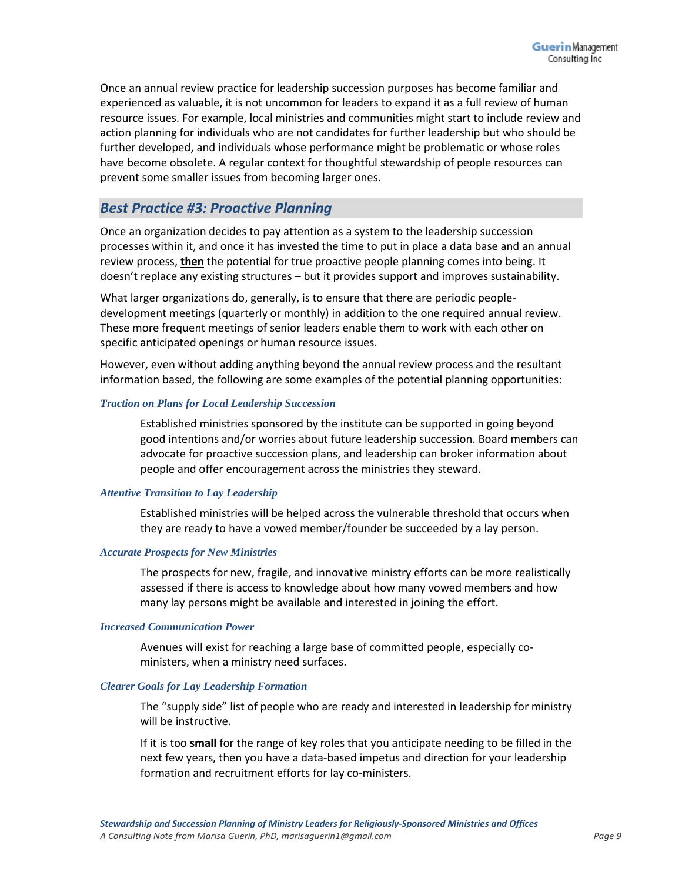Once an annual review practice for leadership succession purposes has become familiar and experienced as valuable, it is not uncommon for leaders to expand it as a full review of human resource issues. For example, local ministries and communities might start to include review and action planning for individuals who are not candidates for further leadership but who should be further developed, and individuals whose performance might be problematic or whose roles have become obsolete. A regular context for thoughtful stewardship of people resources can prevent some smaller issues from becoming larger ones.

# *Best Practice #3: Proactive Planning*

Once an organization decides to pay attention as a system to the leadership succession processes within it, and once it has invested the time to put in place a data base and an annual review process, **then** the potential for true proactive people planning comes into being. It doesn't replace any existing structures – but it provides support and improves sustainability.

What larger organizations do, generally, is to ensure that there are periodic peopledevelopment meetings (quarterly or monthly) in addition to the one required annual review. These more frequent meetings of senior leaders enable them to work with each other on specific anticipated openings or human resource issues.

However, even without adding anything beyond the annual review process and the resultant information based, the following are some examples of the potential planning opportunities:

#### *Traction on Plans for Local Leadership Succession*

Established ministries sponsored by the institute can be supported in going beyond good intentions and/or worries about future leadership succession. Board members can advocate for proactive succession plans, and leadership can broker information about people and offer encouragement across the ministries they steward.

#### *Attentive Transition to Lay Leadership*

Established ministries will be helped across the vulnerable threshold that occurs when they are ready to have a vowed member/founder be succeeded by a lay person.

#### *Accurate Prospects for New Ministries*

The prospects for new, fragile, and innovative ministry efforts can be more realistically assessed if there is access to knowledge about how many vowed members and how many lay persons might be available and interested in joining the effort.

#### *Increased Communication Power*

Avenues will exist for reaching a large base of committed people, especially coministers, when a ministry need surfaces.

#### *Clearer Goals for Lay Leadership Formation*

The "supply side" list of people who are ready and interested in leadership for ministry will be instructive.

If it is too **small** for the range of key roles that you anticipate needing to be filled in the next few years, then you have a data-based impetus and direction for your leadership formation and recruitment efforts for lay co-ministers.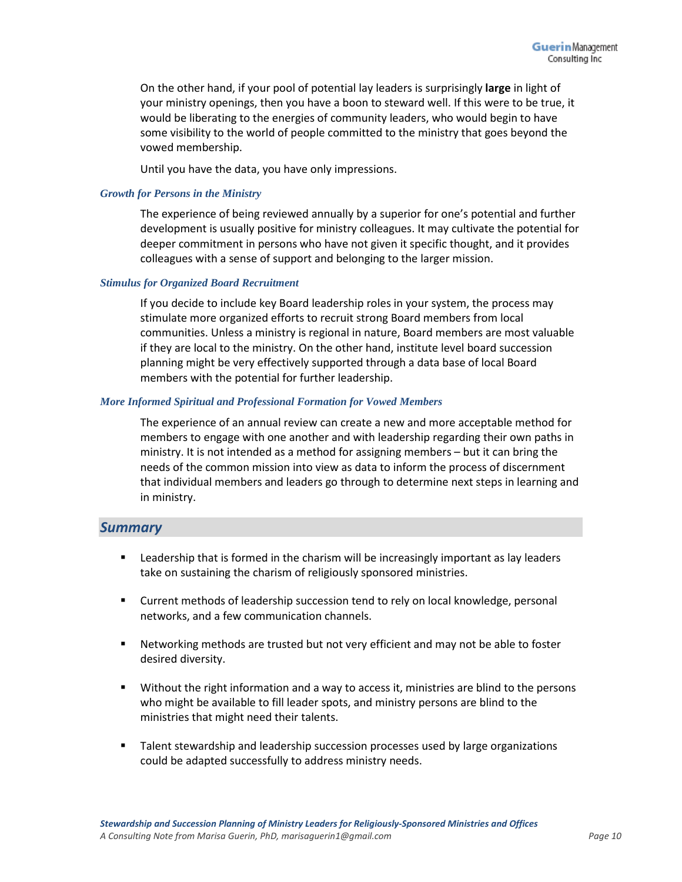On the other hand, if your pool of potential lay leaders is surprisingly **large** in light of your ministry openings, then you have a boon to steward well. If this were to be true, it would be liberating to the energies of community leaders, who would begin to have some visibility to the world of people committed to the ministry that goes beyond the vowed membership.

Until you have the data, you have only impressions.

#### *Growth for Persons in the Ministry*

The experience of being reviewed annually by a superior for one's potential and further development is usually positive for ministry colleagues. It may cultivate the potential for deeper commitment in persons who have not given it specific thought, and it provides colleagues with a sense of support and belonging to the larger mission.

#### *Stimulus for Organized Board Recruitment*

If you decide to include key Board leadership roles in your system, the process may stimulate more organized efforts to recruit strong Board members from local communities. Unless a ministry is regional in nature, Board members are most valuable if they are local to the ministry. On the other hand, institute level board succession planning might be very effectively supported through a data base of local Board members with the potential for further leadership.

#### *More Informed Spiritual and Professional Formation for Vowed Members*

The experience of an annual review can create a new and more acceptable method for members to engage with one another and with leadership regarding their own paths in ministry. It is not intended as a method for assigning members – but it can bring the needs of the common mission into view as data to inform the process of discernment that individual members and leaders go through to determine next steps in learning and in ministry.

#### *Summary*

- **EXECT** Leadership that is formed in the charism will be increasingly important as lay leaders take on sustaining the charism of religiously sponsored ministries.
- Current methods of leadership succession tend to rely on local knowledge, personal networks, and a few communication channels.
- Networking methods are trusted but not very efficient and may not be able to foster desired diversity.
- Without the right information and a way to access it, ministries are blind to the persons who might be available to fill leader spots, and ministry persons are blind to the ministries that might need their talents.
- **Talent stewardship and leadership succession processes used by large organizations** could be adapted successfully to address ministry needs.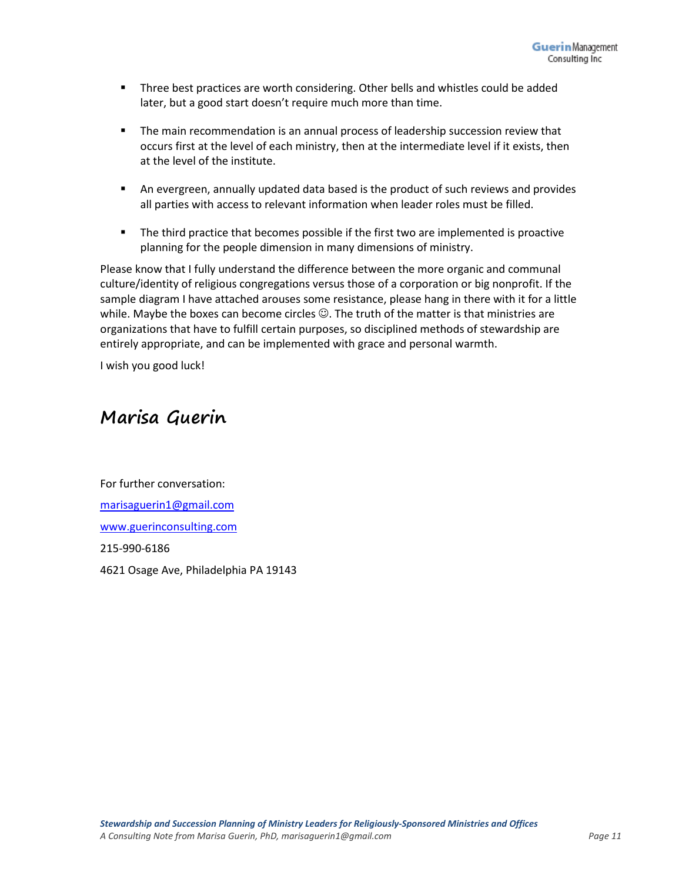- Three best practices are worth considering. Other bells and whistles could be added later, but a good start doesn't require much more than time.
- **The main recommendation is an annual process of leadership succession review that** occurs first at the level of each ministry, then at the intermediate level if it exists, then at the level of the institute.
- An evergreen, annually updated data based is the product of such reviews and provides all parties with access to relevant information when leader roles must be filled.
- **The third practice that becomes possible if the first two are implemented is proactive** planning for the people dimension in many dimensions of ministry.

Please know that I fully understand the difference between the more organic and communal culture/identity of religious congregations versus those of a corporation or big nonprofit. If the sample diagram I have attached arouses some resistance, please hang in there with it for a little while. Maybe the boxes can become circles  $\mathbb{C}$ . The truth of the matter is that ministries are organizations that have to fulfill certain purposes, so disciplined methods of stewardship are entirely appropriate, and can be implemented with grace and personal warmth.

I wish you good luck!

# **Marisa Guerin**

For further conversation: [marisaguerin1@gmail.com](mailto:marisaguerin1@gmail.com) [www.guerinconsulting.com](http://www.guerinconsulting.com/) 215-990-6186 4621 Osage Ave, Philadelphia PA 19143